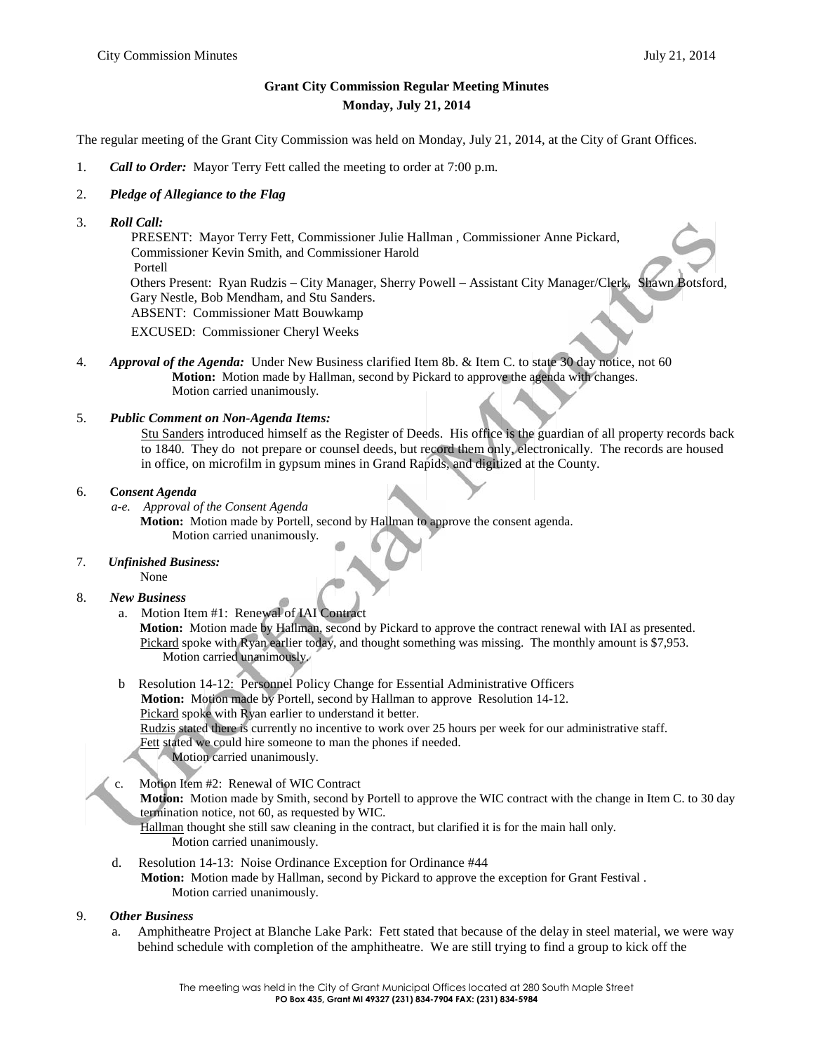# **Grant City Commission Regular Meeting Minutes Monday, July 21, 2014**

The regular meeting of the Grant City Commission was held on Monday, July 21, 2014, at the City of Grant Offices.

1. *Call to Order:* Mayor Terry Fett called the meeting to order at 7:00 p.m.

# 2. *Pledge of Allegiance to the Flag*

3. *Roll Call:*

PRESENT: Mayor Terry Fett, Commissioner Julie Hallman , Commissioner Anne Pickard, Commissioner Kevin Smith, and Commissioner Harold Portell Others Present: Ryan Rudzis – City Manager, Sherry Powell – Assistant City Manager/Clerk, Shawn Botsford, Gary Nestle, Bob Mendham, and Stu Sanders. ABSENT: Commissioner Matt Bouwkamp EXCUSED: Commissioner Cheryl Weeks

4. *Approval of the Agenda:* Under New Business clarified Item 8b. & Item C. to state 30 day notice, not 60 **Motion:** Motion made by Hallman, second by Pickard to approve the agenda with changes. Motion carried unanimously.

# 5. *Public Comment on Non-Agenda Items:*

Stu Sanders introduced himself as the Register of Deeds. His office is the guardian of all property records back to 1840. They do not prepare or counsel deeds, but record them only, electronically. The records are housed in office, on microfilm in gypsum mines in Grand Rapids, and digitized at the County.

### 6. **C***onsent Agenda*

*a-e. Approval of the Consent Agenda*

**Motion:** Motion made by Portell, second by Hallman to approve the consent agenda. Motion carried unanimously.

# 7. *Unfinished Business:*

None

# 8. *New Business*

- a. Motion Item #1: Renewal of IAI Contract **Motion:** Motion made by Hallman, second by Pickard to approve the contract renewal with IAI as presented. Pickard spoke with Ryan earlier today, and thought something was missing. The monthly amount is \$7,953. Motion carried unanimously.
- b Resolution 14-12: Personnel Policy Change for Essential Administrative Officers **Motion:** Motion made by Portell, second by Hallman to approve Resolution 14-12. Pickard spoke with Ryan earlier to understand it better. Rudzis stated there is currently no incentive to work over 25 hours per week for our administrative staff. Fett stated we could hire someone to man the phones if needed. Motion carried unanimously.
- c. Motion Item #2: Renewal of WIC Contract **Motion:** Motion made by Smith, second by Portell to approve the WIC contract with the change in Item C. to 30 day termination notice, not 60, as requested by WIC. Hallman thought she still saw cleaning in the contract, but clarified it is for the main hall only. Motion carried unanimously.
- d. Resolution 14-13: Noise Ordinance Exception for Ordinance #44 **Motion:** Motion made by Hallman, second by Pickard to approve the exception for Grant Festival . Motion carried unanimously.

# 9. *Other Business*

a. Amphitheatre Project at Blanche Lake Park: Fett stated that because of the delay in steel material, we were way behind schedule with completion of the amphitheatre. We are still trying to find a group to kick off the